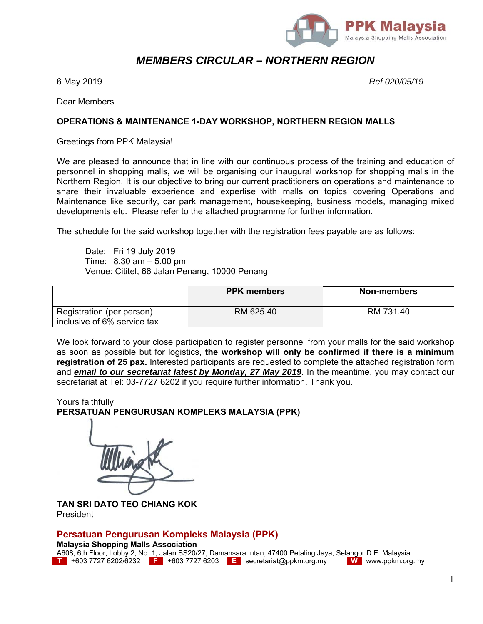

# *MEMBERS CIRCULAR – NORTHERN REGION*

6 May 2019 *Ref 020/05/19*

Dear Members

#### **OPERATIONS & MAINTENANCE 1-DAY WORKSHOP, NORTHERN REGION MALLS**

Greetings from PPK Malaysia!

We are pleased to announce that in line with our continuous process of the training and education of personnel in shopping malls, we will be organising our inaugural workshop for shopping malls in the Northern Region. It is our objective to bring our current practitioners on operations and maintenance to share their invaluable experience and expertise with malls on topics covering Operations and Maintenance like security, car park management, housekeeping, business models, managing mixed developments etc. Please refer to the attached programme for further information.

The schedule for the said workshop together with the registration fees payable are as follows:

 Date: Fri 19 July 2019 Time: 8.30 am – 5.00 pm Venue: Cititel, 66 Jalan Penang, 10000 Penang

|                                                          | <b>PPK members</b> | Non-members |
|----------------------------------------------------------|--------------------|-------------|
| Registration (per person)<br>inclusive of 6% service tax | RM 625.40          | RM 731.40   |

We look forward to your close participation to register personnel from your malls for the said workshop as soon as possible but for logistics, **the workshop will only be confirmed if there is a minimum registration of 25 pax.** Interested participants are requested to complete the attached registration form and *email to our secretariat latest by Monday, 27 May 2019*. In the meantime, you may contact our secretariat at Tel: 03-7727 6202 if you require further information. Thank you.

Yours faithfully **PERSATUAN PENGURUSAN KOMPLEKS MALAYSIA (PPK)** 

**TAN SRI DATO TEO CHIANG KOK**  President

### **Persatuan Pengurusan Kompleks Malaysia (PPK)**

#### **Malaysia Shopping Malls Association**

A608, 6th Floor, Lobby 2, No. 1, Jalan SS20/27, Damansara Intan, 47400 Petaling Jaya, Selangor D.E. Malaysia **T** +603 7727 6202/6232 **F** +603 7727 6203 **E** secretariat@ppkm.org.my **W** www.ppkm.org.my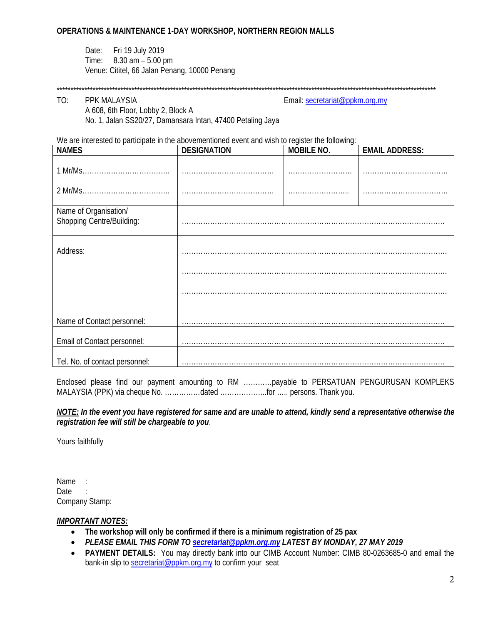Date: Fri 19 July 2019 Time: 8.30 am – 5.00 pm Venue: Cititel, 66 Jalan Penang, 10000 Penang

#### \*\*\*\*\*\*\*\*\*\*\*\*\*\*\*\*\*\*\*\*\*\*\*\*\*\*\*\*\*\*\*\*\*\*\*\*\*\*\*\*\*\*\*\*\*\*\*\*\*\*\*\*\*\*\*\*\*\*\*\*\*\*\*\*\*\*\*\*\*\*\*\*\*\*\*\*\*\*\*\*\*\*\*\*\*\*\*\*\*\*\*\*\*\*\*\*\*\*\*\*\*\*\*\*\*\*\*\*\*\*\*\*\*\*\*\*\*\*\*\*\*\*\*\*\*\*\*\*\*\*\*\*\*\*\*\*\*

# A 608, 6th Floor, Lobby 2, Block A

TO: PPK MALAYSIA Email: secretariat@ppkm.org.my

We are interested to participate in the abovementioned event and wish to register the following:

No. 1, Jalan SS20/27, Damansara Intan, 47400 Petaling Jaya

| we are interested to participate in the abovementioned event and wish to register the following.<br><b>NAMES</b> | <b>DESIGNATION</b> | <b>MOBILE NO.</b> | <b>EMAIL ADDRESS:</b> |
|------------------------------------------------------------------------------------------------------------------|--------------------|-------------------|-----------------------|
|                                                                                                                  |                    |                   |                       |
|                                                                                                                  |                    |                   |                       |
| Name of Organisation/<br>Shopping Centre/Building:                                                               |                    |                   |                       |
| Address:                                                                                                         |                    |                   |                       |
|                                                                                                                  |                    |                   |                       |
|                                                                                                                  |                    |                   |                       |
| Name of Contact personnel:                                                                                       |                    |                   |                       |
| Email of Contact personnel:                                                                                      |                    |                   |                       |
| Tel. No. of contact personnel:                                                                                   |                    |                   |                       |

Enclosed please find our payment amounting to RM …………payable to PERSATUAN PENGURUSAN KOMPLEKS MALAYSIA (PPK) via cheque No. ……………dated ………………..for ….. persons. Thank you.

*NOTE: In the event you have registered for same and are unable to attend, kindly send a representative otherwise the registration fee will still be chargeable to you*.

Yours faithfully

Name : Date : Company Stamp:

#### *IMPORTANT NOTES:*

- **The workshop will only be confirmed if there is a minimum registration of 25 pax**
- *PLEASE EMAIL THIS FORM TO secretariat@ppkm.org.my LATEST BY MONDAY, 27 MAY 2019*
- **PAYMENT DETAILS:** You may directly bank into our CIMB Account Number: CIMB 80-0263685-0 and email the bank-in slip to secretariat@ppkm.org.my to confirm your seat